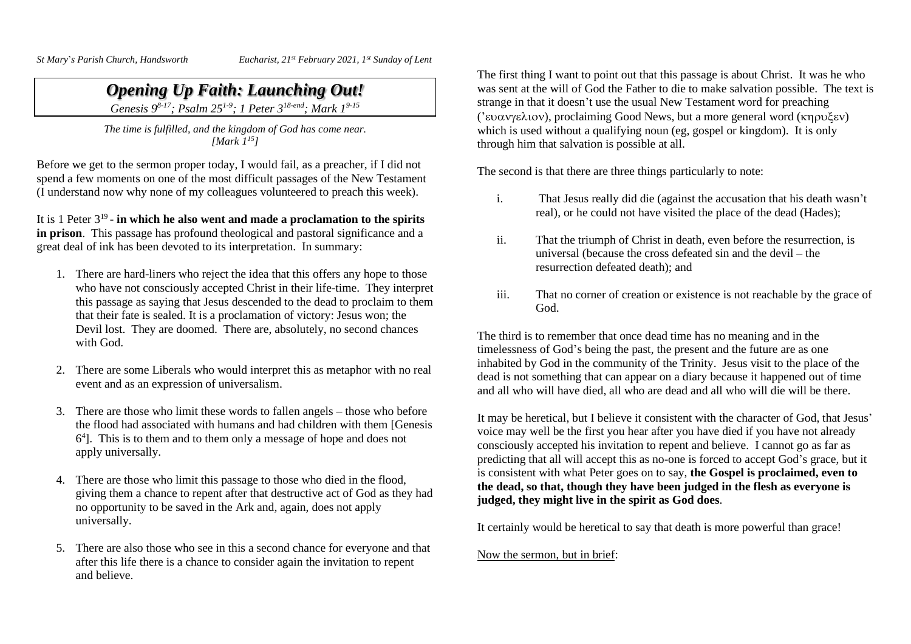$St Mary's Parish Church,$  *Handsworth* 

*Eucharist, 21<sup>st</sup> February 2021, 1<sup>st</sup> Sunday of Lent* 

## *Opening Up Faith: Launching Out!*

*Genesis 9 8-17; Psalm 251-9 ; 1 Peter 3 18-end; Mark 1 9-15*

*The time is fulfilled, and the kingdom of God has come near. [Mark 1 15]*

Before we get to the sermon proper today, I would fail, as a preacher, if I did not spend a few moments on one of the most difficult passages of the New Testament (I understand now why none of my colleagues volunteered to preach this week).

It is 1 Peter 3 19 - **in which he also went and made a proclamation to the spirits in prison**. This passage has profound theological and pastoral significance and a great deal of ink has been devoted to its interpretation. In summary:

- 1. There are hard-liners who reject the idea that this offers any hope to those who have not consciously accepted Christ in their life-time. They interpret this passage as saying that Jesus descended to the dead to proclaim to them that their fate is sealed. It is a proclamation of victory: Jesus won; the Devil lost. They are doomed. There are, absolutely, no second chances with God.
- 2. There are some Liberals who would interpret this as metaphor with no real event and as an expression of universalism.
- 3. There are those who limit these words to fallen angels those who before the flood had associated with humans and had children with them [Genesis 6 4 ]. This is to them and to them only a message of hope and does not apply universally.
- 4. There are those who limit this passage to those who died in the flood, giving them a chance to repent after that destructive act of God as they had no opportunity to be saved in the Ark and, again, does not apply universally.
- 5. There are also those who see in this a second chance for everyone and that after this life there is a chance to consider again the invitation to repent and believe.

The first thing I want to point out that this passage is about Christ. It was he who was sent at the will of God the Father to die to make salvation possible. The text is strange in that it doesn't use the usual New Testament word for preaching ('ευανγελιον), proclaiming Good News, but a more general word (κηρυξεν) which is used without a qualifying noun (eg, gospel or kingdom). It is only through him that salvation is possible at all.

The second is that there are three things particularly to note:

- i. That Jesus really did die (against the accusation that his death wasn't real), or he could not have visited the place of the dead (Hades);
- ii. That the triumph of Christ in death, even before the resurrection, is universal (because the cross defeated sin and the devil – the resurrection defeated death); and
- iii. That no corner of creation or existence is not reachable by the grace of God.

The third is to remember that once dead time has no meaning and in the timelessness of God's being the past, the present and the future are as one inhabited by God in the community of the Trinity. Jesus visit to the place of the dead is not something that can appear on a diary because it happened out of time and all who will have died, all who are dead and all who will die will be there.

It may be heretical, but I believe it consistent with the character of God, that Jesus' voice may well be the first you hear after you have died if you have not already consciously accepted his invitation to repent and believe. I cannot go as far as predicting that all will accept this as no-one is forced to accept God's grace, but it is consistent with what Peter goes on to say, **the Gospel is proclaimed, even to the dead, so that, though they have been judged in the flesh as everyone is judged, they might live in the spirit as God does**.

It certainly would be heretical to say that death is more powerful than grace!

Now the sermon, but in brief: